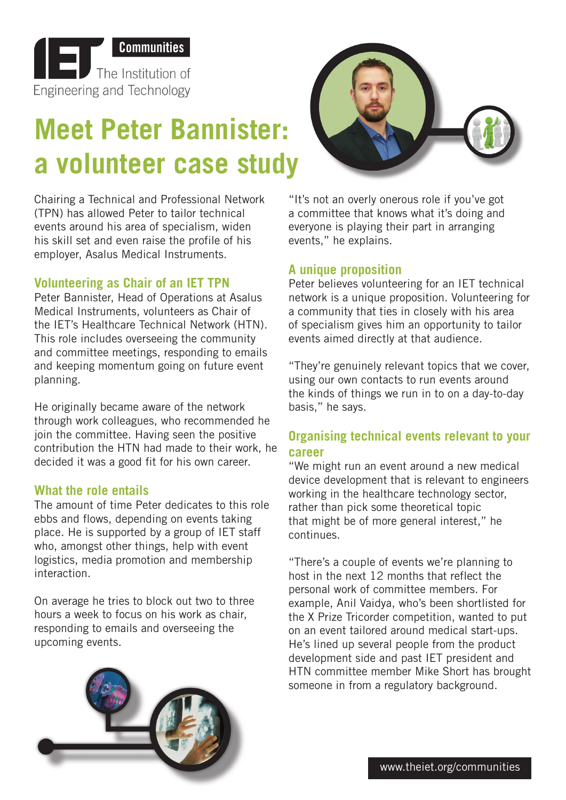

# **Meet Peter Bannister: a volunteer case study**

Chairing a Technical and Professional Network (TPN) has allowed Peter to tailor technical events around his area of specialism, widen his skill set and even raise the profile of his employer, Asalus Medical Instruments.

# **Volunteering as Chair of an IET TPN**

Peter Bannister, Head of Operations at Asalus Medical Instruments, volunteers as Chair of the IET's Healthcare Technical Network (HTN). This role includes overseeing the community and committee meetings, responding to emails and keeping momentum going on future event planning.

He originally became aware of the network through work colleagues, who recommended he join the committee. Having seen the positive contribution the HTN had made to their work, he decided it was a good fit for his own career.

### **What the role entails**

The amount of time Peter dedicates to this role ebbs and flows, depending on events taking place. He is supported by a group of IET staff who, amongst other things, help with event logistics, media promotion and membership interaction.

On average he tries to block out two to three hours a week to focus on his work as chair, responding to emails and overseeing the upcoming events.



"It's not an overly onerous role if you've got a committee that knows what it's doing and everyone is playing their part in arranging events," he explains.

# **A unique proposition**

Peter believes volunteering for an IET technical network is a unique proposition. Volunteering for a community that ties in closely with his area of specialism gives him an opportunity to tailor events aimed directly at that audience.

"They're genuinely relevant topics that we cover, using our own contacts to run events around the kinds of things we run in to on a day-to-day basis," he says.

### **Organising technical events relevant to your career**

"We might run an event around a new medical device development that is relevant to engineers working in the healthcare technology sector, rather than pick some theoretical topic that might be of more general interest," he continues.

"There's a couple of events we're planning to host in the next 12 months that reflect the personal work of committee members. For example, Anil Vaidya, who's been shortlisted for the X Prize Tricorder competition, wanted to put on an event tailored around medical start-ups. He's lined up several people from the product development side and past IET president and HTN committee member Mike Short has brought someone in from a regulatory background.